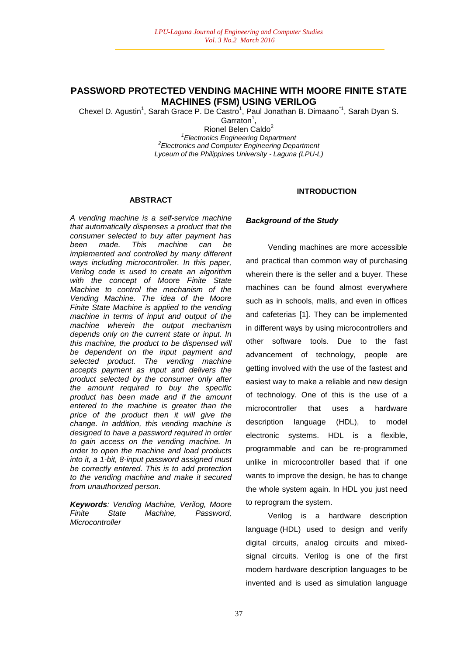# **PASSWORD PROTECTED VENDING MACHINE WITH MOORE FINITE STATE MACHINES (FSM) USING VERILOG**

Chexel D. Agustin<sup>1</sup>, Sarah Grace P. De Castro<sup>1</sup>, Paul Jonathan B. Dimaano<sup>11</sup>, Sarah Dyan S.

Garraton<sup>1</sup>,

Rionel Belen Caldo<sup>2</sup> *1 Electronics Engineering Department 2 Electronics and Computer Engineering Department Lyceum of the Philippines University - Laguna (LPU-L)*

#### **ABSTRACT**

*A vending machine is a self-service machine that automatically dispenses a product that the consumer selected to buy after payment has been made. This machine can be implemented and controlled by many different ways including microcontroller. In this paper, Verilog code is used to create an algorithm with the concept of Moore Finite State Machine to control the mechanism of the Vending Machine. The idea of the Moore Finite State Machine is applied to the vending machine in terms of input and output of the machine wherein the output mechanism depends only on the current state or input. In this machine, the product to be dispensed will be dependent on the input payment and selected product. The vending machine accepts payment as input and delivers the product selected by the consumer only after the amount required to buy the specific product has been made and if the amount entered to the machine is greater than the price of the product then it will give the change. In addition, this vending machine is designed to have a password required in order to gain access on the vending machine. In order to open the machine and load products into it, a 1-bit, 8-input password assigned must be correctly entered. This is to add protection to the vending machine and make it secured from unauthorized person.*

*Keywords: Vending Machine, Verilog, Moore Finite State Machine, Password, Microcontroller*

# **INTRODUCTION**

#### *Background of the Study*

Vending machines are more accessible and practical than common way of purchasing wherein there is the seller and a buyer. These machines can be found almost everywhere such as in schools, malls, and even in offices and cafeterias [1]. They can be implemented in different ways by using microcontrollers and other software tools. Due to the fast advancement of technology, people are getting involved with the use of the fastest and easiest way to make a reliable and new design of technology. One of this is the use of a microcontroller that uses a hardware description language (HDL), to model electronic systems. HDL is a flexible, programmable and can be re-programmed unlike in microcontroller based that if one wants to improve the design, he has to change the whole system again. In HDL you just need to reprogram the system.

Verilog is a hardware description language (HDL) used to design and verify digital circuits, analog circuits and mixedsignal circuits. Verilog is one of the first modern hardware description languages to be invented and is used as simulation language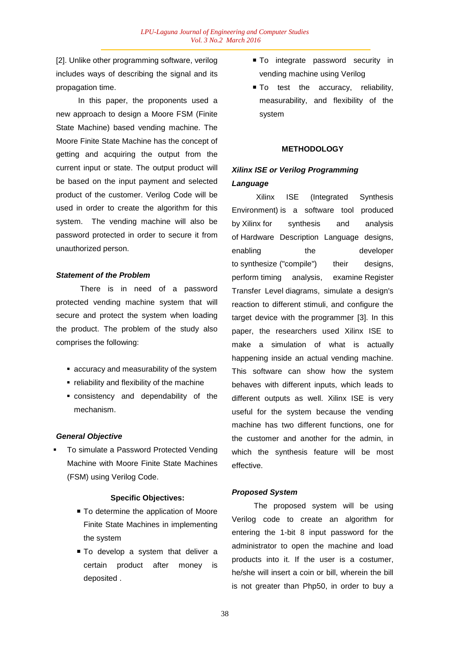[2]. Unlike other programming software, verilog includes ways of describing the signal and its propagation time.

In this paper, the proponents used a new approach to design a Moore FSM (Finite State Machine) based vending machine. The Moore Finite State Machine has the concept of getting and acquiring the output from the current input or state. The output product will be based on the input payment and selected product of the customer. Verilog Code will be used in order to create the algorithm for this system. The vending machine will also be password protected in order to secure it from unauthorized person.

#### *Statement of the Problem*

There is in need of a password protected vending machine system that will secure and protect the system when loading the product. The problem of the study also comprises the following:

- accuracy and measurability of the system
- reliability and flexibility of the machine
- consistency and dependability of the mechanism.

#### *General Objective*

 To simulate a Password Protected Vending Machine with Moore Finite State Machines (FSM) using Verilog Code.

#### **Specific Objectives:**

- To determine the application of Moore Finite State Machines in implementing the system
- To develop a system that deliver a certain product after money is deposited .
- $\blacksquare$  To integrate password security in vending machine using Verilog
- To test the accuracy, reliability, measurability, and flexibility of the system

# **METHODOLOGY**

# *Xilinx ISE or Verilog Programming Language*

Xilinx ISE (Integrated Synthesis Environment) is a software tool produced by Xilinx for synthesis and analysis of Hardware Description Language designs, enabling the developer to synthesize ("compile") their designs, perform timing analysis, examine Register Transfer Level diagrams, simulate a design's reaction to different stimuli, and configure the target device with the programmer [3]. In this paper, the researchers used Xilinx ISE to make a simulation of what is actually happening inside an actual vending machine. This software can show how the system behaves with different inputs, which leads to different outputs as well. Xilinx ISE is very useful for the system because the vending machine has two different functions, one for the customer and another for the admin, in which the synthesis feature will be most effective.

# *Proposed System*

The proposed system will be using Verilog code to create an algorithm for entering the 1-bit 8 input password for the administrator to open the machine and load products into it. If the user is a costumer, he/she will insert a coin or bill, wherein the bill is not greater than Php50, in order to buy a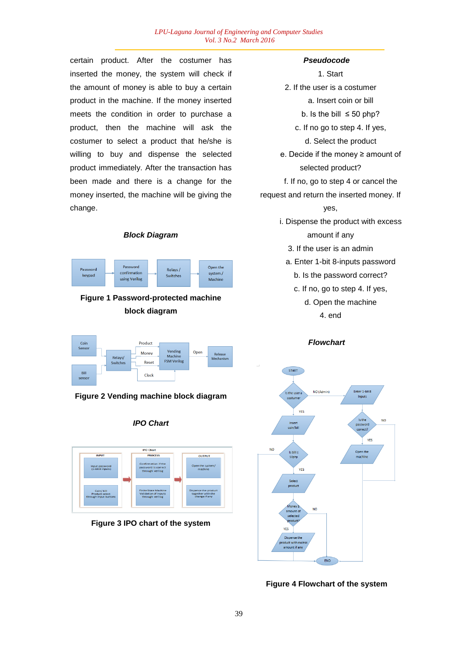#### *LPU-Laguna Journal of Engineering and Computer Studies Vol. 3 No.2 March 2016*

certain product. After the costumer has inserted the money, the system will check if the amount of money is able to buy a certain product in the machine. If the money inserted meets the condition in order to purchase a product, then the machine will ask the costumer to select a product that he/she is willing to buy and dispense the selected product immediately. After the transaction has been made and there is a change for the money inserted, the machine will be giving the change.

## *Block Diagram*



**Figure 1 Password-protected machine block diagram**



**Figure 2 Vending machine block diagram**





**Figure 3 IPO chart of the system**

#### *Pseudocode*

1. Start 2. If the user is a costumer a. Insert coin or bill b. Is the bill  $\leq 50$  php? c. If no go to step 4. If yes, d. Select the product e. Decide if the money ≥ amount of selected product? f. If no, go to step 4 or cancel the request and return the inserted money. If yes, i. Dispense the product with excess amount if any 3. If the user is an admin a. Enter 1-bit 8-inputs password b. Is the password correct?

> c. If no, go to step 4. If yes, d. Open the machine 4. end

> > *Flowchart*



**Figure 4 Flowchart of the system**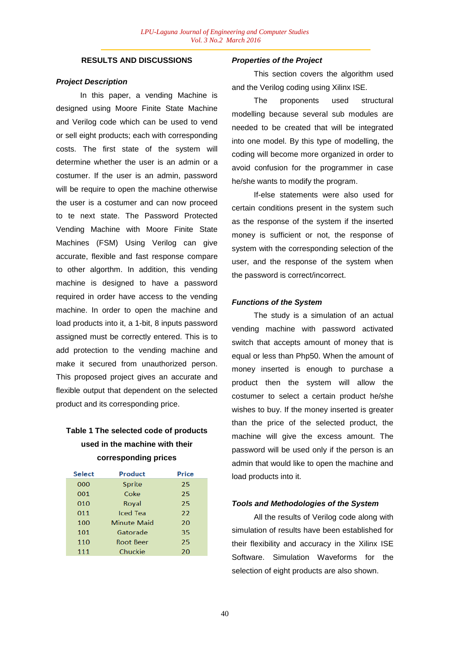## **RESULTS AND DISCUSSIONS**

#### *Project Description*

In this paper, a vending Machine is designed using Moore Finite State Machine and Verilog code which can be used to vend or sell eight products; each with corresponding costs. The first state of the system will determine whether the user is an admin or a costumer. If the user is an admin, password will be require to open the machine otherwise the user is a costumer and can now proceed to te next state. The Password Protected Vending Machine with Moore Finite State Machines (FSM) Using Verilog can give accurate, flexible and fast response compare to other algorthm. In addition, this vending machine is designed to have a password required in order have access to the vending machine. In order to open the machine and load products into it, a 1-bit, 8 inputs password assigned must be correctly entered. This is to add protection to the vending machine and make it secured from unauthorized person. This proposed project gives an accurate and flexible output that dependent on the selected product and its corresponding price.

# **Table 1 The selected code of products used in the machine with their corresponding prices**

| <b>Select</b> | Product            | Price |
|---------------|--------------------|-------|
| 000           | Sprite             | 25    |
| 001           | Coke               | 25    |
| 010           | Royal              | 25    |
| 011           | Iced Tea           | 22    |
| 100           | <b>Minute Maid</b> | 20    |
| 101           | Gatorade           | 35    |
| 110           | Root Beer          | 25    |
| 111           | Chuckie            | 20    |
|               |                    |       |

#### *Properties of the Project*

This section covers the algorithm used and the Verilog coding using Xilinx ISE.

The proponents used structural modelling because several sub modules are needed to be created that will be integrated into one model. By this type of modelling, the coding will become more organized in order to avoid confusion for the programmer in case he/she wants to modify the program.

If-else statements were also used for certain conditions present in the system such as the response of the system if the inserted money is sufficient or not, the response of system with the corresponding selection of the user, and the response of the system when the password is correct/incorrect.

# *Functions of the System*

The study is a simulation of an actual vending machine with password activated switch that accepts amount of money that is equal or less than Php50. When the amount of money inserted is enough to purchase a product then the system will allow the costumer to select a certain product he/she wishes to buy. If the money inserted is greater than the price of the selected product, the machine will give the excess amount. The password will be used only if the person is an admin that would like to open the machine and load products into it.

#### *Tools and Methodologies of the System*

All the results of Verilog code along with simulation of results have been established for their flexibility and accuracy in the Xilinx ISE Software. Simulation Waveforms for the selection of eight products are also shown.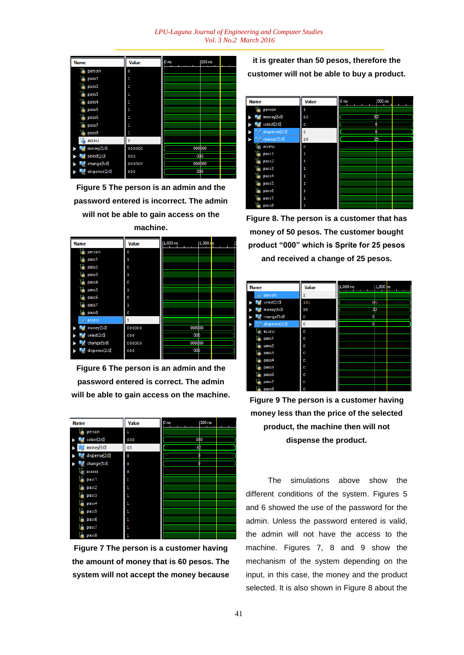*LPU-Laguna Journal of Engineering and Computer Studies Vol. 3 No.2 March 2016*

| <b>Name</b>   | Value  | 0 <sub>ns</sub>    | 500 ns |
|---------------|--------|--------------------|--------|
| person        | 0      |                    |        |
| pass1         | 1      |                    |        |
| pass2         | 1      |                    |        |
| pass3         | 1      |                    |        |
| pass4         | 1      |                    |        |
| pass5         | 1      |                    |        |
| pass6         | 1      |                    |        |
| pass7         | 1      |                    |        |
| pass8         | 1      |                    |        |
| access        | ٥      |                    |        |
| money[5:0]    | 000000 | 000 <sub>p00</sub> |        |
| select[2:0]   | 000    | 000                |        |
| change[5:0]   | 000000 | 000 <sub>D00</sub> |        |
| dispense[2:0] | 000    | 000                |        |

**Figure 5 The person is an admin and the password entered is incorrect. The admin will not be able to gain access on the machine.**



**Figure 6 The person is an admin and the password entered is correct. The admin will be able to gain access on the machine.**

| <b>Name</b>   | Value | 0 <sub>ns</sub> | 500 ns |
|---------------|-------|-----------------|--------|
| person        | 1     |                 |        |
| select[2:0]   | 000   | 000             |        |
| money[5:0]    | 60    |                 | 6b     |
| dispense[2:0] | 0     |                 | n      |
| change[5:0]   | 0     |                 | Ō      |
| access        | 0     |                 |        |
| pass1         | 1     |                 |        |
| pass2         | 1     |                 |        |
| pass3         | 1     |                 |        |
| pass4         | 1     |                 |        |
| pass5         | 1     |                 |        |
| pass6         | 1     |                 |        |
| pass7         | 1     |                 |        |
| pass8         | 1     |                 |        |

**Figure 7 The person is a customer having the amount of money that is 60 pesos. The system will not accept the money because** 

**it is greater than 50 pesos, therefore the customer will not be able to buy a product.**



**Figure 8. The person is a customer that has money of 50 pesos. The customer bought product "000" which is Sprite for 25 pesos and received a change of 25 pesos.**

| <b>Name</b>        | Value   | $ 1,000$ ns    | $1,500$ ns |  |
|--------------------|---------|----------------|------------|--|
| person<br>$\omega$ | 1       |                |            |  |
| select[2:0]        | 101     |                | 101        |  |
| money[5:0]         | 30      | 3 <sub>b</sub> |            |  |
| change[5:0]        | 0       | 0              |            |  |
| dispense[2:0]      | $\circ$ | ō              |            |  |
| access             | ٥       |                |            |  |
| pass1              | ٥       |                |            |  |
| pass2              | Ō       |                |            |  |
| pass3              | ٥       |                |            |  |
| pass4              | 0       |                |            |  |
| pass5              | 0       |                |            |  |
| pass6              | 0       |                |            |  |
| pass7              | ٥       |                |            |  |
| pass8              | 0       |                |            |  |

**Figure 9 The person is a customer having money less than the price of the selected product, the machine then will not dispense the product.**

The simulations above show the different conditions of the system. Figures 5 and 6 showed the use of the password for the admin. Unless the password entered is valid, the admin will not have the access to the machine. Figures 7, 8 and 9 show the mechanism of the system depending on the input, in this case, the money and the product selected. It is also shown in Figure 8 about the